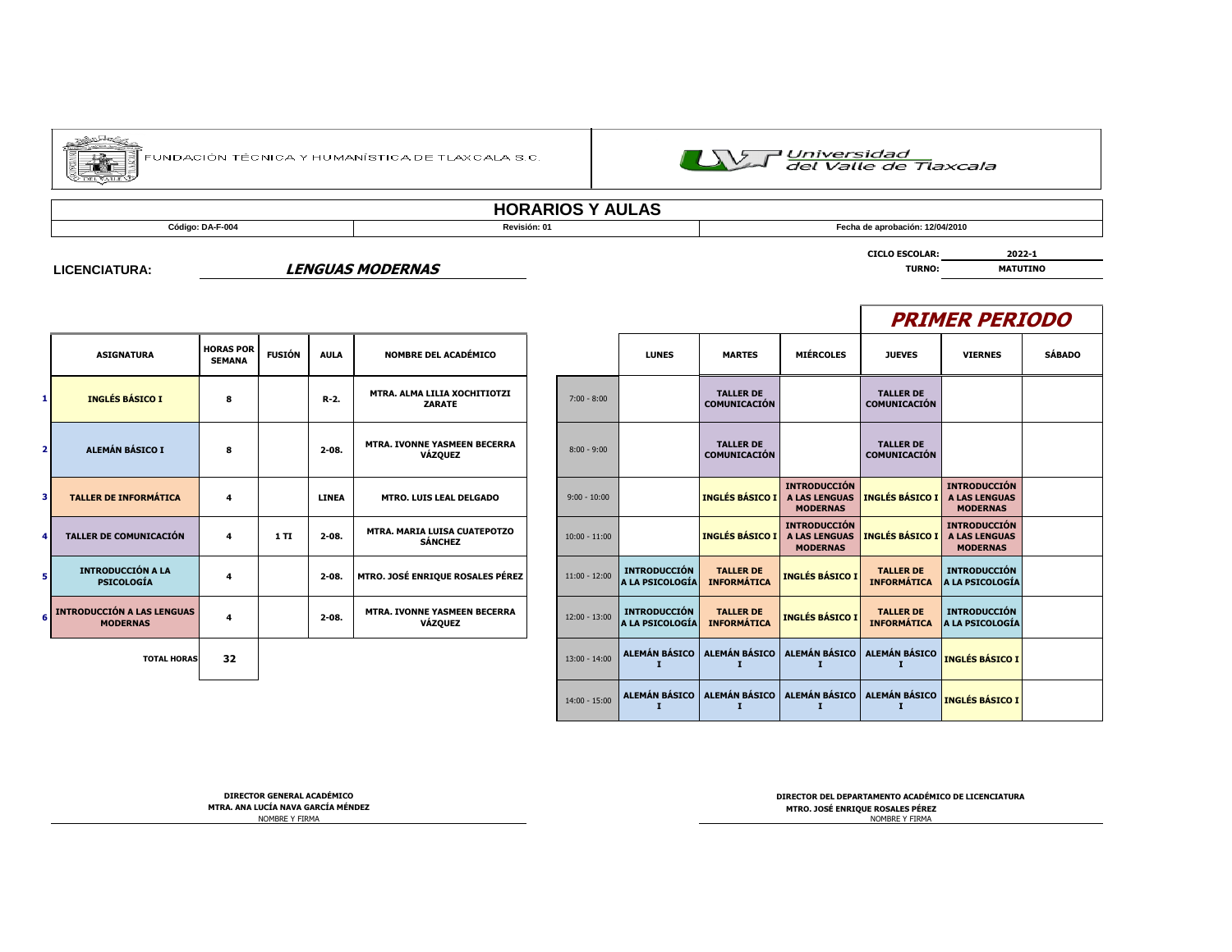

.<br>FUNDACIÓN TÉCNICA Y HUMANÍSTICA DE TLAXCALA S.C.



## **HORARIOS Y AULAS**

т

**Código: DA-F-004 Revisión: 01 Fecha de aprobación: 12/04/2010**

**CICLO ESCOLAR: 2022-1**

#### **LICENCIATURA:**

#### **LENGUAS MODERNAS TURNO: MATUTINO**

|                         | <b>ASIGNATURA</b>                                    | <b>HORAS POR</b><br><b>SEMANA</b> | <b>FUSIÓN</b> | <b>AULA</b>  | <b>NOMBRE DEL ACADÉMICO</b>                           |                 | <b>LUNES</b>                           | <b>MARTES</b>                           |
|-------------------------|------------------------------------------------------|-----------------------------------|---------------|--------------|-------------------------------------------------------|-----------------|----------------------------------------|-----------------------------------------|
| 1                       | <b>INGLÉS BÁSICO I</b>                               | 8                                 |               | $R-2$ .      | MTRA. ALMA LILIA XOCHITIOTZI<br><b>ZARATE</b>         | $7:00 - 8:00$   |                                        | <b>TALLER DE</b><br>COMUNICACIÓN        |
| $\overline{2}$          | ALEMÁN BÁSICO I                                      | 8                                 |               | $2 - 08.$    | <b>MTRA. IVONNE YASMEEN BECERRA</b><br><b>VÁZQUEZ</b> | $8:00 - 9:00$   |                                        | <b>TALLER DE</b><br><b>COMUNICACIÓN</b> |
| $\overline{\mathbf{3}}$ | <b>TALLER DE INFORMÁTICA</b>                         | 4                                 |               | <b>LINEA</b> | <b>MTRO. LUIS LEAL DELGADO</b>                        | $9:00 - 10:00$  |                                        | <b>INGLÉS BÁSICO I</b>                  |
| 4                       | <b>TALLER DE COMUNICACIÓN</b>                        | 4                                 | 1TI           | $2 - 08.$    | MTRA. MARIA LUISA CUATEPOTZO<br><b>SÁNCHEZ</b>        | $10:00 - 11:00$ |                                        | <b>INGLÉS BÁSICO I</b>                  |
| 5.                      | <b>INTRODUCCIÓN A LA</b><br><b>PSICOLOGÍA</b>        | 4                                 |               | $2 - 08.$    | MTRO. JOSÉ ENRIQUE ROSALES PÉREZ                      | $11:00 - 12:00$ | <b>INTRODUCCIÓN</b><br>A LA PSICOLOGÍA | <b>TALLER DE</b><br><b>INFORMÁTICA</b>  |
| 6                       | <b>INTRODUCCIÓN A LAS LENGUAS</b><br><b>MODERNAS</b> | 4                                 |               | $2 - 08.$    | <b>MTRA. IVONNE YASMEEN BECERRA</b><br><b>VÁZQUEZ</b> | $12:00 - 13:00$ | <b>INTRODUCCIÓN</b><br>A LA PSICOLOGÍA | <b>TALLER DE</b><br><b>INFORMÁTICA</b>  |
|                         | <b>TOTAL HORAS</b>                                   | 32                                |               |              |                                                       | $13:00 - 14:00$ | <b>ALEMÁN BÁSICO</b>                   | <b>ALEMÁN BÁSICO</b>                    |
|                         |                                                      |                                   |               |              |                                                       |                 |                                        |                                         |

|                                  |               |              |                                                       |                 |                                        |                                                                    |                                                                |                                         | <b>PRIMER PERIODO</b>                                          |               |
|----------------------------------|---------------|--------------|-------------------------------------------------------|-----------------|----------------------------------------|--------------------------------------------------------------------|----------------------------------------------------------------|-----------------------------------------|----------------------------------------------------------------|---------------|
| <b>ORAS POR</b><br><b>SEMANA</b> | <b>FUSIÓN</b> | <b>AULA</b>  | <b>NOMBRE DEL ACADÉMICO</b>                           |                 | <b>LUNES</b>                           | <b>MARTES</b>                                                      | <b>MIÉRCOLES</b>                                               | <b>JUEVES</b>                           | <b>VIERNES</b>                                                 | <b>SÁBADO</b> |
| 8                                |               | R-2.         | MTRA. ALMA LILIA XOCHITIOTZI<br><b>ZARATE</b>         | $7:00 - 8:00$   |                                        | <b>TALLER DE</b><br><b>COMUNICACIÓN</b>                            |                                                                | <b>TALLER DE</b><br><b>COMUNICACIÓN</b> |                                                                |               |
| 8                                |               | $2 - 08$     | <b>MTRA. IVONNE YASMEEN BECERRA</b><br><b>VÁZQUEZ</b> | $8:00 - 9:00$   |                                        | <b>TALLER DE</b><br><b>COMUNICACIÓN</b>                            |                                                                | <b>TALLER DE</b><br><b>COMUNICACIÓN</b> |                                                                |               |
| 4                                |               | <b>LINEA</b> | <b>MTRO. LUIS LEAL DELGADO</b>                        | $9:00 - 10:00$  |                                        | <b>INGLÉS BÁSICO I</b>                                             | <b>INTRODUCCIÓN</b><br><b>A LAS LENGUAS</b><br><b>MODERNAS</b> | <b>INGLÉS BÁSICO I</b>                  | <b>INTRODUCCIÓN</b><br><b>A LAS LENGUAS</b><br><b>MODERNAS</b> |               |
| 4                                | 1 TI          | $2 - 08.$    | <b>MTRA, MARIA LUISA CUATEPOTZO</b><br><b>SÁNCHEZ</b> | $10:00 - 11:00$ |                                        | <b>INGLÉS BÁSICO I</b>                                             | <b>INTRODUCCIÓN</b><br><b>A LAS LENGUAS</b><br><b>MODERNAS</b> | <b>INGLÉS BÁSICO I</b>                  | <b>INTRODUCCIÓN</b><br><b>A LAS LENGUAS</b><br><b>MODERNAS</b> |               |
| 4                                |               | $2 - 08$     | MTRO. JOSÉ ENRIQUE ROSALES PÉREZ                      | $11:00 - 12:00$ | <b>INTRODUCCIÓN</b><br>A LA PSICOLOGÍA | <b>TALLER DE</b><br><b>INFORMÁTICA</b>                             | <b>INGLÉS BÁSICO I</b>                                         | <b>TALLER DE</b><br><b>INFORMÁTICA</b>  | <b>INTRODUCCIÓN</b><br>A LA PSICOLOGÍA                         |               |
| 4                                |               | $2 - 08$     | MTRA. IVONNE YASMEEN BECERRA<br><b>VÁZQUEZ</b>        | $12:00 - 13:00$ | <b>INTRODUCCIÓN</b><br>A LA PSICOLOGÍA | <b>TALLER DE</b><br><b>INFORMÁTICA</b>                             | <b>INGLÉS BÁSICO I</b>                                         | <b>TALLER DE</b><br><b>INFORMÁTICA</b>  | <b>INTRODUCCIÓN</b><br>A LA PSICOLOGÍA                         |               |
| 32                               |               |              |                                                       | $13:00 - 14:00$ | ALEMÁN BÁSICO                          | ALEMÁN BÁSICO<br>т                                                 | ALEMÁN BÁSICO                                                  | <b>ALEMÁN BÁSICO</b>                    | <b>INGLÉS BÁSICO I</b>                                         |               |
|                                  |               |              |                                                       | $14:00 - 15:00$ | т                                      | ALEMÁN BÁSICO   ALEMÁN BÁSICO   ALEMÁN BÁSICO   ALEMÁN BÁSICO<br>1 | I                                                              | 1                                       | <b>INGLÉS BÁSICO I</b>                                         |               |
|                                  |               |              |                                                       |                 |                                        |                                                                    |                                                                |                                         |                                                                |               |

NOMBRE Y FIRMA

NOMBRE Y FIRMA **MTRA. ANA LUCÍA NAVA GARCÍA MÉNDEZ MTRO. JOSÉ ENRIQUE ROSALES PÉREZDIRECTOR GENERAL ACADÉMICO DIRECTOR DEL DEPARTAMENTO ACADÉMICO DE LICENCIATURA**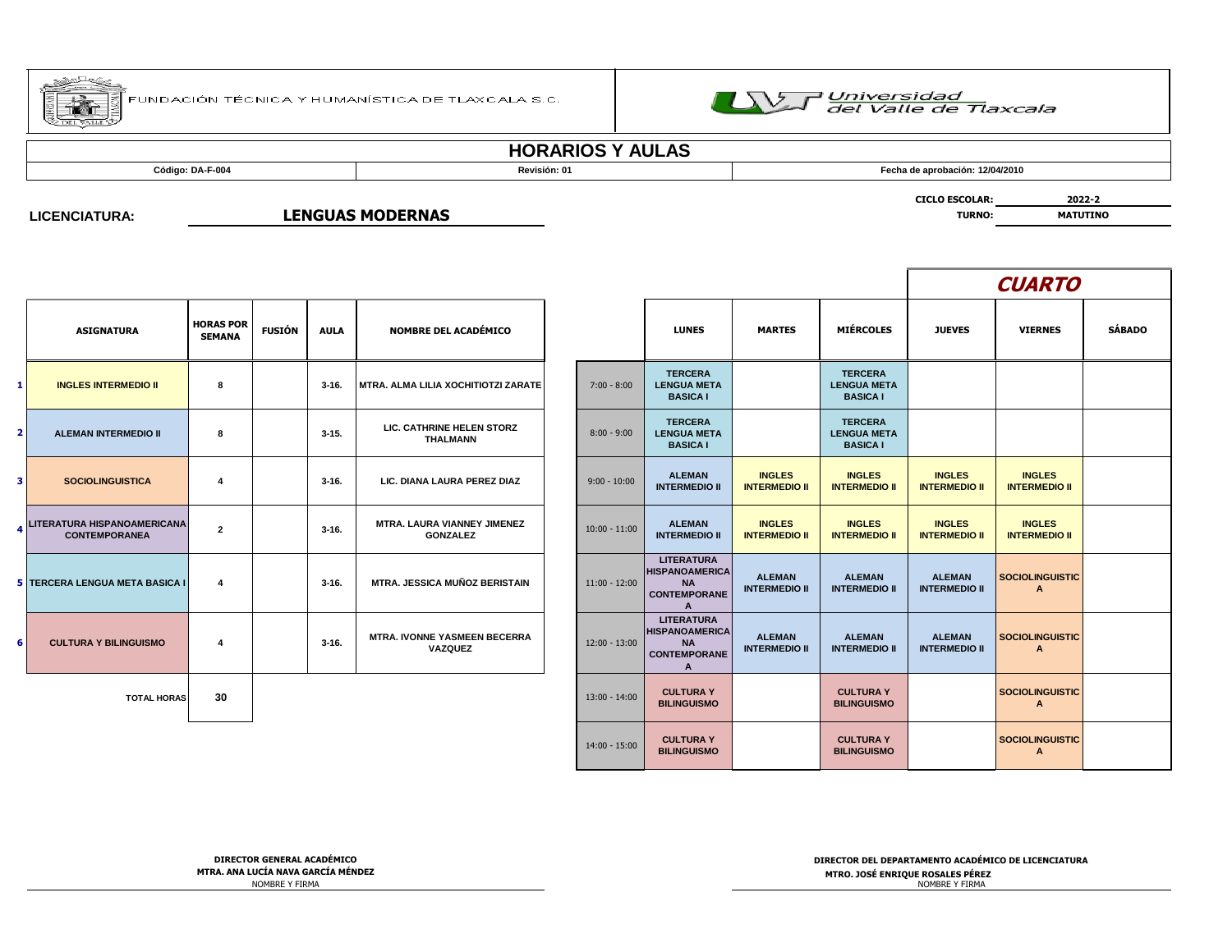



# **HORARIOS Y AULAS**

**Código: DA-F-004 Revisión: 01 Fecha de aprobación: 12/04/2010**

**CICLO ESCOLAR: 2022-2**

**LICENCIATURA:**

**LENGUAS MODERNAS TURNO:** MATUTINO

|                |                                                     |                                   |               |             |                                                |                 |                                                                                                |                                       |                                                         |                                       | <b>CUARTO</b>                         |               |
|----------------|-----------------------------------------------------|-----------------------------------|---------------|-------------|------------------------------------------------|-----------------|------------------------------------------------------------------------------------------------|---------------------------------------|---------------------------------------------------------|---------------------------------------|---------------------------------------|---------------|
|                | <b>ASIGNATURA</b>                                   | <b>HORAS POR</b><br><b>SEMANA</b> | <b>FUSIÓN</b> | <b>AULA</b> | <b>NOMBRE DEL ACADÉMICO</b>                    |                 | <b>LUNES</b>                                                                                   | <b>MARTES</b>                         | <b>MIÉRCOLES</b>                                        | <b>JUEVES</b>                         | <b>VIERNES</b>                        | <b>SÁBADO</b> |
| 1              | <b>INGLES INTERMEDIO II</b>                         | 8                                 |               | $3 - 16.$   | MTRA. ALMA LILIA XOCHITIOTZI ZARATE            | $7:00 - 8:00$   | <b>TERCERA</b><br><b>LENGUA META</b><br><b>BASICA I</b>                                        |                                       | <b>TERCERA</b><br><b>LENGUA META</b><br><b>BASICA I</b> |                                       |                                       |               |
| $\overline{2}$ | <b>ALEMAN INTERMEDIO II</b>                         | 8                                 |               | $3-15.$     | LIC. CATHRINE HELEN STORZ<br><b>THALMANN</b>   | $8:00 - 9:00$   | <b>TERCERA</b><br><b>LENGUA META</b><br><b>BASICA I</b>                                        |                                       | <b>TERCERA</b><br><b>LENGUA META</b><br><b>BASICA I</b> |                                       |                                       |               |
| з              | <b>SOCIOLINGUISTICA</b>                             | $\overline{4}$                    |               | $3 - 16.$   | LIC. DIANA LAURA PEREZ DIAZ                    | $9:00 - 10:00$  | <b>ALEMAN</b><br><b>INTERMEDIO II</b>                                                          | <b>INGLES</b><br><b>INTERMEDIO II</b> | <b>INGLES</b><br><b>INTERMEDIO II</b>                   | <b>INGLES</b><br><b>INTERMEDIO II</b> | <b>INGLES</b><br><b>INTERMEDIO II</b> |               |
|                | LITERATURA HISPANOAMERICANA<br><b>CONTEMPORANEA</b> | $\overline{2}$                    |               | $3-16.$     | MTRA. LAURA VIANNEY JIMENEZ<br><b>GONZALEZ</b> | $10:00 - 11:00$ | <b>ALEMAN</b><br><b>INTERMEDIO II</b>                                                          | <b>INGLES</b><br><b>INTERMEDIO II</b> | <b>INGLES</b><br><b>INTERMEDIO II</b>                   | <b>INGLES</b><br><b>INTERMEDIO II</b> | <b>INGLES</b><br><b>INTERMEDIO II</b> |               |
|                | 5 TERCERA LENGUA META BASICA I                      | $\overline{\mathbf{4}}$           |               | $3-16.$     | <b>MTRA, JESSICA MUÑOZ BERISTAIN</b>           | $11:00 - 12:00$ | <b>LITERATURA</b><br><b>HISPANOAMERICA</b><br><b>NA</b><br><b>CONTEMPORANE</b><br>$\mathbf{A}$ | <b>ALEMAN</b><br><b>INTERMEDIO II</b> | <b>ALEMAN</b><br><b>INTERMEDIO II</b>                   | <b>ALEMAN</b><br><b>INTERMEDIO II</b> | <b>SOCIOLINGUISTIC</b><br>A           |               |
| 6              | <b>CULTURA Y BILINGUISMO</b>                        | 4                                 |               | $3-16.$     | MTRA. IVONNE YASMEEN BECERRA<br>VAZQUEZ        | $12:00 - 13:00$ | <b>LITERATURA</b><br><b>HISPANOAMERICA</b><br><b>NA</b><br><b>CONTEMPORANE</b><br>A            | <b>ALEMAN</b><br><b>INTERMEDIO II</b> | <b>ALEMAN</b><br><b>INTERMEDIO II</b>                   | <b>ALEMAN</b><br><b>INTERMEDIO II</b> | <b>SOCIOLINGUISTIC</b><br>A           |               |
|                | <b>TOTAL HORAS</b>                                  | 30                                |               |             |                                                | $13:00 - 14:00$ | <b>CULTURA Y</b><br><b>BILINGUISMO</b>                                                         |                                       | <b>CULTURA Y</b><br><b>BILINGUISMO</b>                  |                                       | <b>SOCIOLINGUISTIC</b><br>A           |               |
|                |                                                     |                                   |               |             |                                                | 14:00 - 15:00   | <b>CULTURA Y</b><br><b>BILINGUISMO</b>                                                         |                                       | <b>CULTURA Y</b><br><b>BILINGUISMO</b>                  |                                       | SOCIOLINGUISTIC<br>$\mathbf{A}$       |               |